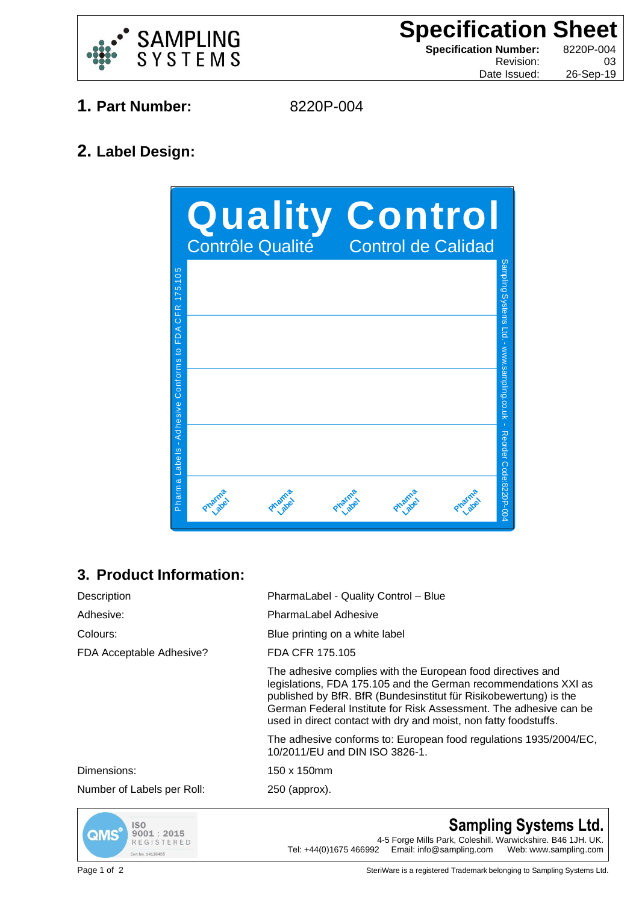

**Specification Sheet Specification Number:** 8220P-004 Revision: 03

Date Issued: 26-Sep-19

- **1. Part Number:** 8220P-004
	-

## **2. Label Design:**



## **3. Product Information:**

| Description                | PharmaLabel - Quality Control - Blue                                                                                                                                                                                                                                                                                                         |
|----------------------------|----------------------------------------------------------------------------------------------------------------------------------------------------------------------------------------------------------------------------------------------------------------------------------------------------------------------------------------------|
| Adhesive:                  | <b>PharmaLabel Adhesive</b>                                                                                                                                                                                                                                                                                                                  |
| Colours:                   | Blue printing on a white label                                                                                                                                                                                                                                                                                                               |
| FDA Acceptable Adhesive?   | FDA CFR 175.105                                                                                                                                                                                                                                                                                                                              |
|                            | The adhesive complies with the European food directives and<br>legislations, FDA 175.105 and the German recommendations XXI as<br>published by BfR. BfR (Bundesinstitut für Risikobewertung) is the<br>German Federal Institute for Risk Assessment. The adhesive can be<br>used in direct contact with dry and moist, non fatty foodstuffs. |
|                            | The adhesive conforms to: European food regulations 1935/2004/EC,<br>10/2011/EU and DIN ISO 3826-1.                                                                                                                                                                                                                                          |
| Dimensions:                | 150 x 150mm                                                                                                                                                                                                                                                                                                                                  |
| Number of Labels per Roll: | $250$ (approx).                                                                                                                                                                                                                                                                                                                              |



## **Sampling Systems Ltd.**

4-5 Forge Mills Park, Coleshill. Warwickshire. B46 1JH. UK. Tel: +44(0)1675 466992 Email: info@sampling.com Web: www.sampling.com

Page 1 of 2 SteriWare is a registered Trademark belonging to Sampling Systems Ltd.